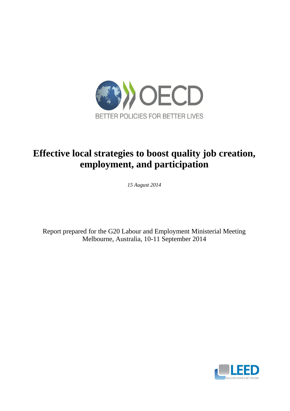

# **Effective local strategies to boost quality job creation, employment, and participation**

*15 August 2014*

Report prepared for the G20 Labour and Employment Ministerial Meeting Melbourne, Australia, 10-11 September 2014

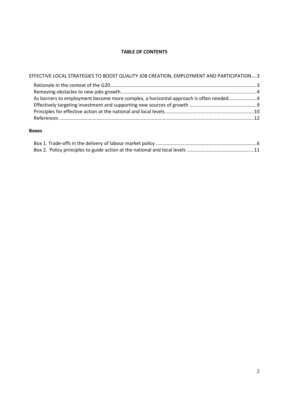# **TABLE OF CONTENTS**

| EFFECTIVE LOCAL STRATEGIES TO BOOST QUALITY JOB CREATION, EMPLOYMENT AND PARTICIPATION3 |  |
|-----------------------------------------------------------------------------------------|--|
|                                                                                         |  |
| As barriers to employment become more complex, a horizontal approach is often needed4   |  |
|                                                                                         |  |
|                                                                                         |  |

# **Boxes**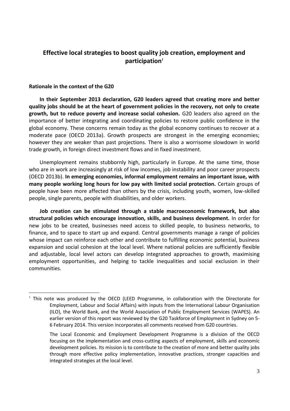# <span id="page-2-0"></span>**Effective local strategies to boost quality job creation, employment and participation<sup>1</sup>**

# <span id="page-2-1"></span>**Rationale in the context of the G20**

 **In their September 2013 declaration, G20 leaders agreed that creating more and better quality jobs should be at the heart of government policies in the recovery, not only to create growth, but to reduce poverty and increase social cohesion.** G20 leaders also agreed on the importance of better integrating and coordinating policies to restore public confidence in the global economy. These concerns remain today as the global economy continues to recover at a moderate pace (OECD 2013a). Growth prospects are strongest in the emerging economies; however they are weaker than past projections. There is also a worrisome slowdown in world trade growth, in foreign direct investment flows and in fixed investment.

 Unemployment remains stubbornly high, particularly in Europe. At the same time, those who are in work are increasingly at risk of low incomes, job instability and poor career prospects (OECD 2013b). **In emerging economies, informal employment remains an important issue, with many people working long hours for low pay with limited social protection.** Certain groups of people have been more affected than others by the crisis, including youth, women, low-skilled people, single parents, people with disabilities, and older workers.

**Job creation can be stimulated through a stable macroeconomic framework, but also structural policies which encourage innovation, skills, and business development.** In order for new jobs to be created, businesses need access to skilled people, to business networks, to finance, and to space to start up and expand. Central governments manage a range of policies whose impact can reinforce each other and contribute to fulfilling economic potential, business expansion and social cohesion at the local level. Where national policies are sufficiently flexible and adjustable, local level actors can develop integrated approaches to growth, maximising employment opportunities, and helping to tackle inequalities and social exclusion in their communities.

<sup>&</sup>lt;sup>1</sup> This note was produced by the OECD (LEED Programme, in collaboration with the Directorate for Employment, Labour and Social Affairs) with inputs from the International Labour Organisation (ILO), the World Bank, and the World Association of Public Employment Services (WAPES). An earlier version of this report was reviewed by the G20 Taskforce of Employment in Sydney on 5- 6 February 2014. This version incorporates all comments received from G20 countries.

The Local Economic and Employment Development Programme is a division of the OECD focusing on the implementation and cross-cutting aspects of employment, skills and economic development policies. Its mission is to contribute to the creation of more and better quality jobs through more effective policy implementation, innovative practices, stronger capacities and integrated strategies at the local level.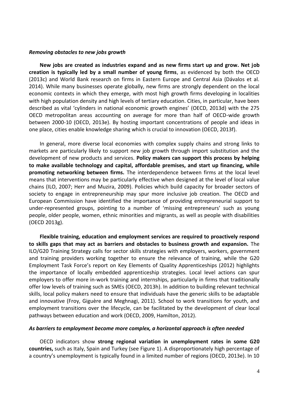#### <span id="page-3-0"></span>*Removing obstacles to new jobs growth*

**New jobs are created as industries expand and as new firms start up and grow. Net job creation is typically led by a small number of young firms**, as evidenced by both the OECD (2013c) and World Bank research on firms in Eastern Europe and Central Asia (Dávalos et al. 2014). While many businesses operate globally, new firms are strongly dependent on the local economic contexts in which they emerge, with most high growth firms developing in localities with high population density and high levels of tertiary education. Cities, in particular, have been described as vital 'cylinders in national economic growth engines' (OECD, 2013d) with the 275 OECD metropolitan areas accounting on average for more than half of OECD-wide growth between 2000-10 (OECD, 2013e). By hosting important concentrations of people and ideas in one place, cities enable knowledge sharing which is crucial to innovation (OECD, 2013f).

In general, more diverse local economies with complex supply chains and strong links to markets are particularly likely to support new job growth through import substitution and the development of new products and services. **Policy makers can support this process by helping to make available technology and capital, affordable premises, and start up financing, while promoting networking between firms.** The interdependence between firms at the local level means that interventions may be particularly effective when designed at the level of local value chains (ILO, 2007; Herr and Muzira, 2009). Policies which build capacity for broader sectors of society to engage in entrepreneurship may spur more inclusive job creation. The OECD and European Commission have identified the importance of providing entrepreneurial support to under-represented groups, pointing to a number of 'missing entrepreneurs' such as young people, older people, women, ethnic minorities and migrants, as well as people with disabilities (OECD 2013g).

**Flexible training, education and employment services are required to proactively respond to skills gaps that may act as barriers and obstacles to business growth and expansion.** The ILO/G20 Training Strategy calls for sector skills strategies with employers, workers, government and training providers working together to ensure the relevance of training, while the G20 Employment Task Force's report on Key Elements of Quality Apprenticeships (2012) highlights the importance of locally embedded apprenticeship strategies. Local level actions can spur employers to offer more in-work training and internships, particularly in firms that traditionally offer low levels of training such as SMEs (OECD, 2013h). In addition to building relevant technical skills, local policy makers need to ensure that individuals have the generic skills to be adaptable and innovative (Froy, Giguère and Meghnagi, 2011). School to work transitions for youth, and employment transitions over the lifecycle, can be facilitated by the development of clear local pathways between education and work (OECD, 2009, Hamilton, 2012).

#### <span id="page-3-1"></span>*As barriers to employment become more complex, a horizontal approach is often needed*

OECD indicators show **strong regional variation in unemployment rates in some G20 countries,** such as Italy, Spain and Turkey (see Figure 1). A disproportionately high percentage of a country's unemployment is typically found in a limited number of regions (OECD, 2013e). In 10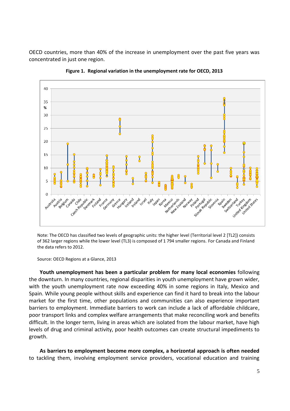OECD countries, more than 40% of the increase in unemployment over the past five years was concentrated in just one region.



**Figure 1. Regional variation in the unemployment rate for OECD, 2013**

Note: The OECD has classified two levels of geographic units: the higher level (Territorial level 2 [TL2]) consists of 362 larger regions while the lower level (TL3) is composed of 1 794 smaller regions. For Canada and Finland the data refers to 2012.

Source: OECD Regions at a Glance, 2013

**Youth unemployment has been a particular problem for many local economies** following the downturn. In many countries, regional disparities in youth unemployment have grown wider, with the youth unemployment rate now exceeding 40% in some regions in Italy, Mexico and Spain. While young people without skills and experience can find it hard to break into the labour market for the first time, other populations and communities can also experience important barriers to employment. Immediate barriers to work can include a lack of affordable childcare, poor transport links and complex welfare arrangements that make reconciling work and benefits difficult. In the longer term, living in areas which are isolated from the labour market, have high levels of drug and criminal activity, poor health outcomes can create structural impediments to growth.

**As barriers to employment become more complex, a horizontal approach is often needed**  to tackling them, involving employment service providers, vocational education and training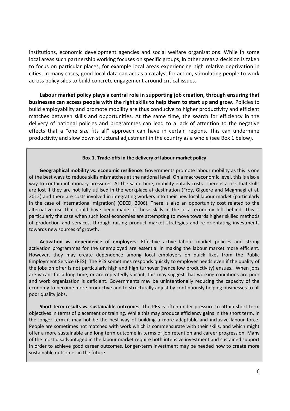institutions, economic development agencies and social welfare organisations. While in some local areas such partnership working focuses on specific groups, in other areas a decision is taken to focus on particular places, for example local areas experiencing high relative deprivation in cities. In many cases, good local data can act as a catalyst for action, stimulating people to work across policy silos to build concrete engagement around critical issues.

**Labour market policy plays a central role in supporting job creation, through ensuring that businesses can access people with the right skills to help them to start up and grow.** Policies to build employability and promote mobility are thus conducive to higher productivity and efficient matches between skills and opportunities. At the same time, the search for efficiency in the delivery of national policies and programmes can lead to a lack of attention to the negative effects that a "one size fits all" approach can have in certain regions. This can undermine productivity and slow down structural adjustment in the country as a whole (see Box 1 below).

#### **Box 1. Trade-offs in the delivery of labour market policy**

**Geographical mobility vs. economic resilience**: Governments promote labour mobility as this is one of the best ways to reduce skills mismatches at the national level. On a macroeconomic level, this is also a way to contain inflationary pressures. At the same time, mobility entails costs. There is a risk that skills are lost if they are not fully utilised in the workplace at destination (Froy, Giguère and Meghnagi et al, 2012) and there are costs involved in integrating workers into their new local labour market (particularly in the case of international migration) (OECD, 2006). There is also an opportunity cost related to the alternative use that could have been made of these skills in the local economy left behind. This is particularly the case when such local economies are attempting to move towards higher skilled methods of production and services, through raising product market strategies and re-orientating investments towards new sources of growth.

**Activation vs. dependence of employers**: Effective active labour market policies and strong activation programmes for the unemployed are essential in making the labour market more efficient. However, they may create dependence among local employers on quick fixes from the Public Employment Service (PES). The PES sometimes responds quickly to employer needs even if the quality of the jobs on offer is not particularly high and high turnover (hence low productivity) ensues. When jobs are vacant for a long time, or are repeatedly vacant, this may suggest that working conditions are poor and work organisation is deficient. Governments may be unintentionally reducing the capacity of the economy to become more productive and to structurally adjust by continuously helping businesses to fill poor quality jobs.

**Short term results vs. sustainable outcome**s: The PES is often under pressure to attain short-term objectives in terms of placement or training. While this may produce efficiency gains in the short term, in the longer term it may not be the best way of building a more adaptable and inclusive labour force. People are sometimes not matched with work which is commensurate with their skills, and which might offer a more sustainable and long term outcome in terms of job retention and career progression. Many of the most disadvantaged in the labour market require both intensive investment and sustained support in order to achieve good career outcomes. Longer-term investment may be needed now to create more sustainable outcomes in the future.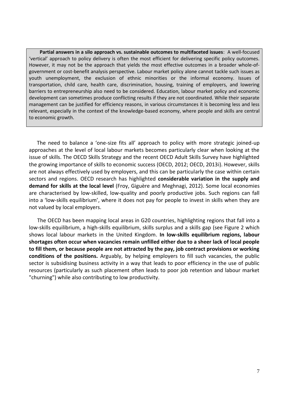**Partial answers in a silo approach vs. sustainable outcomes to multifaceted issues**: A well-focused 'vertical' approach to policy delivery is often the most efficient for delivering specific policy outcomes. However, it may not be the approach that yields the most effective outcomes in a broader whole-ofgovernment or cost-benefit analysis perspective. Labour market policy alone cannot tackle such issues as youth unemployment, the exclusion of ethnic minorities or the informal economy. Issues of transportation, child care, health care, discrimination, housing, training of employers, and lowering barriers to entrepreneurship also need to be considered. Education, labour market policy and economic development can sometimes produce conflicting results if they are not coordinated. While their separate management can be justified for efficiency reasons, in various circumstances it is becoming less and less relevant, especially in the context of the knowledge-based economy, where people and skills are central to economic growth.

 The need to balance a 'one-size fits all' approach to policy with more strategic joined-up approaches at the level of local labour markets becomes particularly clear when looking at the issue of skills. The OECD Skills Strategy and the recent OECD Adult Skills Survey have highlighted the growing importance of skills to economic success (OECD, 2012; OECD, 2013i). However, skills are not always effectively used by employers, and this can be particularly the case within certain sectors and regions. OECD research has highlighted **considerable variation in the supply and demand for skills at the local level** (Froy, Giguère and Meghnagi, 2012). Some local economies are characterised by low-skilled, low-quality and poorly productive jobs. Such regions can fall into a 'low-skills equilibrium', where it does not pay for people to invest in skills when they are not valued by local employers.

The OECD has been mapping local areas in G20 countries, highlighting regions that fall into a low-skills equilibrium, a high-skills equilibrium, skills surplus and a skills gap (see Figure 2 which shows local labour markets in the United Kingdom. **In low-skills equilibrium regions, labour shortages often occur when vacancies remain unfilled either due to a sheer lack of local people to fill them, or because people are not attracted by the pay, job contract provisions or working conditions of the positions.** Arguably, by helping employers to fill such vacancies, the public sector is subsidising business activity in a way that leads to poor efficiency in the use of public resources (particularly as such placement often leads to poor job retention and labour market "churning") while also contributing to low productivity.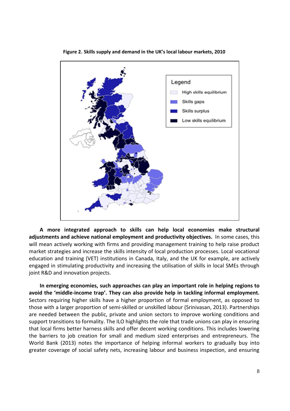

**Figure 2. Skills supply and demand in the UK's local labour markets, 2010**

**A more integrated approach to skills can help local economies make structural adjustments and achieve national employment and productivity objectives.** In some cases, this will mean actively working with firms and providing management training to help raise product market strategies and increase the skills intensity of local production processes. Local vocational education and training (VET) institutions in Canada, Italy, and the UK for example, are actively engaged in stimulating productivity and increasing the utilisation of skills in local SMEs through joint R&D and innovation projects.

**In emerging economies, such approaches can play an important role in helping regions to avoid the 'middle-income trap'. They can also provide help in tackling informal employment.**  Sectors requiring higher skills have a higher proportion of formal employment, as opposed to those with a larger proportion of semi-skilled or unskilled labour (Srinivasan, 2013). Partnerships are needed between the public, private and union sectors to improve working conditions and support transitions to formality. The ILO highlights the role that trade unions can play in ensuring that local firms better harness skills and offer decent working conditions. This includes lowering the barriers to job creation for small and medium sized enterprises and entrepreneurs. The World Bank (2013) notes the importance of helping informal workers to gradually buy into greater coverage of social safety nets, increasing labour and business inspection, and ensuring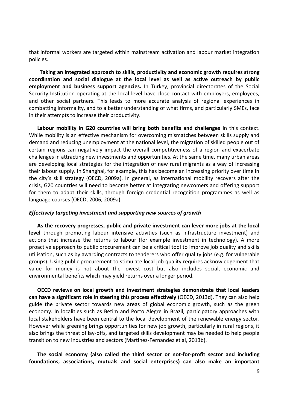that informal workers are targeted within mainstream activation and labour market integration policies.

**Taking an integrated approach to skills, productivity and economic growth requires strong coordination and social dialogue at the local level as well as active outreach by public employment and business support agencies.** In Turkey, provincial directorates of the Social Security Institution operating at the local level have close contact with employers, employees, and other social partners. This leads to more accurate analysis of regional experiences in combatting informality, and to a better understanding of what firms, and particularly SMEs, face in their attempts to increase their productivity.

**Labour mobility in G20 countries will bring both benefits and challenges** in this context. While mobility is an effective mechanism for overcoming mismatches between skills supply and demand and reducing unemployment at the national level, the migration of skilled people out of certain regions can negatively impact the overall competitiveness of a region and exacerbate challenges in attracting new investments and opportunities. At the same time, many urban areas are developing local strategies for the integration of new rural migrants as a way of increasing their labour supply. In Shanghai, for example, this has become an increasing priority over time in the city's skill strategy (OECD, 2009a). In general, as international mobility recovers after the crisis, G20 countries will need to become better at integrating newcomers and offering support for them to adapt their skills, through foreign credential recognition programmes as well as language courses (OECD, 2006, 2009a).

#### <span id="page-8-0"></span>*Effectively targeting investment and supporting new sources of growth*

**As the recovery progresses, public and private investment can lever more jobs at the local level** through promoting labour intensive activities (such as infrastructure investment) and actions that increase the returns to labour (for example investment in technology). A more proactive approach to public procurement can be a critical tool to improve job quality and skills utilisation, such as by awarding contracts to tenderers who offer quality jobs (e.g. for vulnerable groups). Using public procurement to stimulate local job quality requires acknowledgement that value for money is not about the lowest cost but also includes social, economic and environmental benefits which may yield returns over a longer period.

**OECD reviews on local growth and investment strategies demonstrate that local leaders can have a significant role in steering this process effectively** (OECD, 2013d). They can also help guide the private sector towards new areas of global economic growth, such as the green economy. In localities such as Betim and Porto Alegre in Brazil, participatory approaches with local stakeholders have been central to the local development of the renewable energy sector. However while greening brings opportunities for new job growth, particularly in rural regions, it also brings the threat of lay-offs, and targeted skills development may be needed to help people transition to new industries and sectors (Martinez-Fernandez et al, 2013b).

**The social economy (also called the third sector or not-for-profit sector and including foundations, associations, mutuals and social enterprises) can also make an important**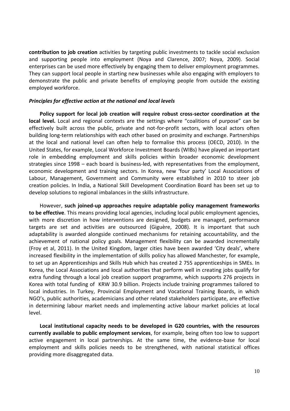**contribution to job creation** activities by targeting public investments to tackle social exclusion and supporting people into employment (Noya and Clarence, 2007; Noya, 2009). Social enterprises can be used more effectively by engaging them to deliver employment programmes. They can support local people in starting new businesses while also engaging with employers to demonstrate the public and private benefits of employing people from outside the existing employed workforce.

#### <span id="page-9-0"></span>*Principles for effective action at the national and local levels*

**Policy support for local job creation will require robust cross-sector coordination at the local level.** Local and regional contexts are the settings where "coalitions of purpose" can be effectively built across the public, private and not-for-profit sectors, with local actors often building long-term relationships with each other based on proximity and exchange. Partnerships at the local and national level can often help to formalise this process (OECD, 2010). In the United States, for example, Local Workforce Investment Boards (WIBs) have played an important role in embedding employment and skills policies within broader economic development strategies since 1998 – each board is business-led, with representatives from the employment, economic development and training sectors. In Korea, new 'four party' Local Associations of Labour, Management, Government and Community were established in 2010 to steer job creation policies. In India, a National Skill Development Coordination Board has been set up to develop solutions to regional imbalances in the skills infrastructure.

However, **such joined-up approaches require adaptable policy management frameworks to be effective**. This means providing local agencies, including local public employment agencies, with more discretion in how interventions are designed, budgets are managed, performance targets are set and activities are outsourced (Giguère, 2008). It is important that such adaptability is awarded alongside continued mechanisms for retaining accountability, and the achievement of national policy goals. Management flexibility can be awarded incrementally (Froy et al, 2011). In the United Kingdom, larger cities have been awarded 'City deals', where increased flexibility in the implementation of skills policy has allowed Manchester, for example, to set up an Apprenticeships and Skills Hub which has created 2 755 apprenticeships in SMEs. In Korea, the Local Associations and local authorities that perform well in creating jobs qualify for extra funding through a local job creation support programme, which supports 276 projects in Korea with total funding of KRW 30.9 billion. Projects include training programmes tailored to local industries. In Turkey, Provincial Employment and Vocational Training Boards, in which NGO's, public authorities, academicians and other related stakeholders participate, are effective in determining labour market needs and implementing active labour market policies at local level.

**Local institutional capacity needs to be developed in G20 countries, with the resources currently available to public employment services**, for example, being often too low to support active engagement in local partnerships. At the same time, the evidence-base for local employment and skills policies needs to be strengthened, with national statistical offices providing more disaggregated data.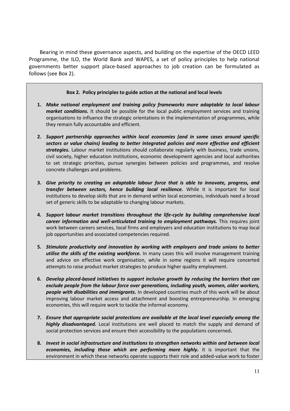Bearing in mind these governance aspects, and building on the expertise of the OECD LEED Programme, the ILO, the World Bank and WAPES, a set of policy principles to help national governments better support place-based approaches to job creation can be formulated as follows (see Box 2).

# **Box 2. Policy principles to guide action at the national and local levels**

- **1.** *Make national employment and training policy frameworks more adaptable to local labour market conditions.* It should be possible for the local public employment services and training organisations to influence the strategic orientations in the implementation of programmes, while they remain fully accountable and efficient.
- **2.** *Support partnership approaches within local economies (and in some cases around specific sectors or value chains) leading to better integrated policies and more effective and efficient strategies.* Labour market institutions should collaborate regularly with business, trade unions, civil society, higher education institutions, economic development agencies and local authorities to set strategic priorities, pursue synergies between policies and programmes, and resolve concrete challenges and problems.
- **3.** *Give priority to creating an adaptable labour force that is able to innovate, progress, and transfer between sectors, hence building local resilience.* While it is important for local institutions to develop skills that are in demand within local economies, individuals need a broad set of generic skills to be adaptable to changing labour markets.
- **4.** *Support labour market transitions throughout the life-cycle by building comprehensive local career information and well-articulated training to employment pathways.* This requires joint work between careers services, local firms and employers and education institutions to map local job opportunities and associated competencies required.
- **5.** *Stimulate productivity and innovation by working with employers and trade unions to better utilise the skills of the existing workforce.* In many cases this will involve management training and advice on effective work organisation, while in some regions it will require concerted attempts to raise product market strategies to produce higher quality employment.
- **6.** *Develop placed-based initiatives to support inclusive growth by reducing the barriers that can exclude people from the labour force over generations, including youth, women, older workers, people with disabilities and immigrants.* In developed countries much of this work will be about improving labour market access and attachment and boosting entrepreneurship. In emerging economies, this will require work to tackle the informal economy.
- **7.** *Ensure that appropriate social protections are available at the local level especially among the highly disadvantaged.* Local institutions are well placed to match the supply and demand of social protection services and ensure their accessibility to the populations concerned*.*
- **8.** *Invest in social infrastructure and institutions to strengthen networks within and between local economies, including those which are performing more highly.* It is important that the environment in which these networks operate supports their role and added-value work to foster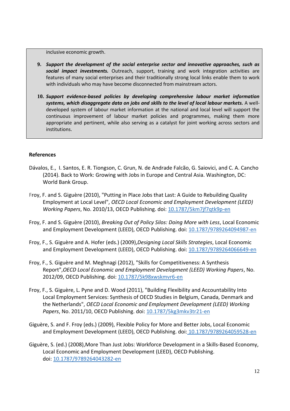inclusive economic growth.

- **9.** *Support the development of the social enterprise sector and innovative approaches, such as social impact investments.* Outreach, support, training and work integration activities are features of many social enterprises and their traditionally strong local links enable them to work with individuals who may have become disconnected from mainstream actors.
- **10.** *Support evidence-based policies by developing comprehensive labour market information systems, which disaggregate data on jobs and skills to the level of local labour markets.* A welldeveloped system of labour market information at the national and local level will support the continuous improvement of labour market policies and programmes, making them more appropriate and pertinent, while also serving as a catalyst for joint working across sectors and institutions.

# <span id="page-11-0"></span>**References**

- Dávalos, E., I. Santos, E. R. Tiongson, C. Grun, N. de Andrade Falcão, G. Saiovici, and C. A. Cancho (2014). Back to Work: Growing with Jobs in Europe and Central Asia. Washington, DC: World Bank Group.
- Froy, F. and S. Giguère (2010), "Putting in Place Jobs that Last: A Guide to Rebuilding Quality Employment at Local Level", *OECD Local Economic and Employment Development (LEED) Working Papers*, No. 2010/13, OECD Publishing. doi: [10.1787/5km7jf7qtk9p-en](http://dx.doi.org/10.1787/5km7jf7qtk9p-en)
- Froy, F. and S. Giguère (2010), *Breaking Out of Policy Silos: Doing More with Less*, Local Economic and Employment Development (LEED), OECD Publishing. doi: [10.1787/9789264094987-en](http://dx.doi.org/10.1787/9789264094987-en)
- Froy, F., S. Giguère and A. Hofer (eds.) (2009),*Designing Local Skills Strategies*, Local Economic and Employment Development (LEED), OECD Publishing. doi: [10.1787/9789264066649-en](http://dx.doi.org/10.1787/9789264066649-en)
- Froy, F., S. Giguère and M. Meghnagi (2012), "Skills for Competitiveness: A Synthesis Report",*OECD Local Economic and Employment Development (LEED) Working Papers*, No. 2012/09, OECD Publishing. doi: [10.1787/5k98xwskmvr6-en](http://dx.doi.org/10.1787/5k98xwskmvr6-en)
- Froy, F., S. Giguère, L. Pyne and D. Wood (2011), "Building Flexibility and Accountability Into Local Employment Services: Synthesis of OECD Studies in Belgium, Canada, Denmark and the Netherlands", *OECD Local Economic and Employment Development (LEED) Working Papers*, No. 2011/10, OECD Publishing. doi: [10.1787/5kg3mkv3tr21-en](http://dx.doi.org/10.1787/5kg3mkv3tr21-en)
- Giguère, S. and F. Froy (eds.) (2009), Flexible Policy for More and Better Jobs, Local Economic and Employment Development (LEED), OECD Publishing. doi: [10.1787/9789264059528-en](http://dx.doi.org/10.1787/9789264059528-en)
- Giguère, S. (ed.) (2008),More Than Just Jobs: Workforce Development in a Skills-Based Economy, Local Economic and Employment Development (LEED), OECD Publishing. doi: [10.1787/9789264043282-en](http://dx.doi.org/10.1787/9789264043282-en)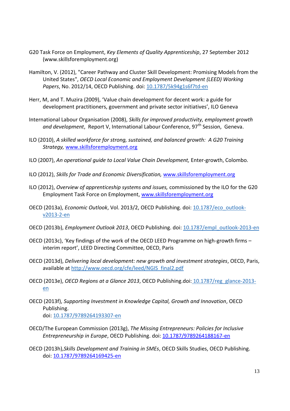- G20 Task Force on Employment, *Key Elements of Quality Apprenticeship*, 27 September 2012 (www.skillsforemployment.org)
- Hamilton, V. (2012), "Career Pathway and Cluster Skill Development: Promising Models from the United States", *OECD Local Economic and Employment Development (LEED) Working Papers*, No. 2012/14, OECD Publishing. doi: [10.1787/5k94g1s6f7td-en](http://dx.doi.org/10.1787/5k94g1s6f7td-en)
- Herr, M, and T. Muzira (2009), 'Value chain development for decent work: a guide for development practitioners, government and private sector initiatives', ILO Geneva
- International Labour Organisation (2008), *Skills for improved productivity, employment growth*  and development, Report V, International Labour Conference, 97<sup>th</sup> Session, Geneva.
- ILO (2010), *A skilled workforce for strong, sustained, and balanced growth: A G20 Training Strategy,* [www.skillsforemployment.org](http://www.skillsforemployment.org/)
- ILO (2007), *An operational guide to Local Value Chain Development,* Enter-growth, Colombo*.*
- ILO (2012), *Skills for Trade and Economic Diversification,* [www.skillsforemployment.org](http://www.skillsforemployment.org/)
- ILO (2012), *Overview of apprenticeship systems and issues,* commissioned by the ILO for the G20 Employment Task Force on Employment, [www.skillsforemployment.org](http://www.skillsforemployment.org/)
- OECD (2013a), *Economic Outlook*, Vol. 2013/2, OECD Publishing. doi: 10.1787/eco\_outlookv2013-2-en
- OECD (2013b), *Employment Outlook 2013*, OECD Publishing. doi: 10.1787/empl\_outlook-2013-en
- OECD (2013c), 'Key findings of the work of the OECD LEED Programme on high-growth firms interim report', LEED Directing Committee, OECD, Paris
- OECD (2013d), *Delivering local development: new growth and investment strategies*, OECD, Paris, available at http://www.oecd.org/cfe/leed/NGIS\_final2.pdf
- OECD (2013e), *OECD Regions at a Glance 2013*, OECD Publishing.doi: [10.1787/reg\\_glance-2013](http://dx.doi.org/10.1787/reg_glance-2013-en) [en](http://dx.doi.org/10.1787/reg_glance-2013-en)
- OECD (2013f), *Supporting Investment in Knowledge Capital, Growth and Innovation*, OECD Publishing. doi: [10.1787/9789264193307-en](http://dx.doi.org/10.1787/9789264193307-en)
- OECD/The European Commission (2013g), *The Missing Entrepreneurs: Policies for Inclusive Entrepreneurship in Europe*, OECD Publishing. doi: [10.1787/9789264188167-en](http://dx.doi.org/10.1787/9789264188167-en)
- OECD (2013h),*Skills Development and Training in SMEs*, OECD Skills Studies, OECD Publishing. doi: [10.1787/9789264169425-en](http://dx.doi.org/10.1787/9789264169425-en)